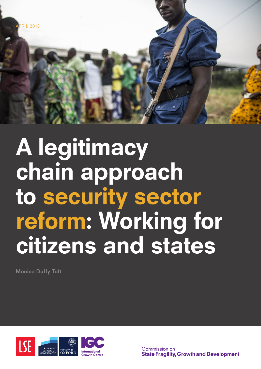

# A legitimacy chain approach to security sector reform: Working for citizens and states

Monica Duffy Toft



Commission on **State Fragility, Growth and Development**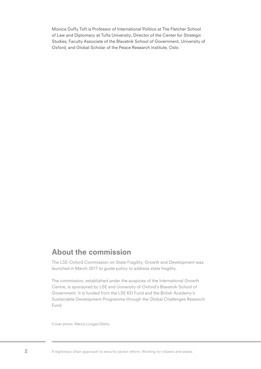Monica Duffy Toft is Professor of International Politics at The Fletcher School of Law and Diplomacy at Tufts University; Director of the Center for Strategic Studies; Faculty Associate of the Blavatnik School of Government, University of Oxford; and Global Scholar of the Peace Research Institute, Oslo.

#### About the commission

The LSE-Oxford Commission on State Fragility, Growth and Development was launched in March 2017 to guide policy to address state fragility.

The commission, established under the auspices of the International Growth Centre, is sponsored by LSE and University of Oxford's Blavatnik School of Government. It is funded from the LSE KEI Fund and the British Academy's Sustainable Development Programme through the Global Challenges Research Fund.

Cover photo: Marco Longari/Getty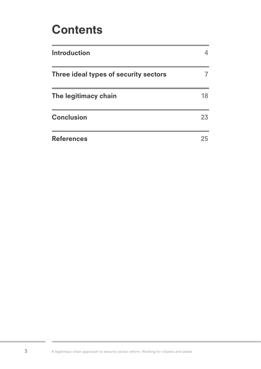### **Contents**

| <b>Introduction</b>                   |    |
|---------------------------------------|----|
| Three ideal types of security sectors |    |
| The legitimacy chain                  | 18 |
| <b>Conclusion</b>                     | 23 |
| <b>References</b>                     | 25 |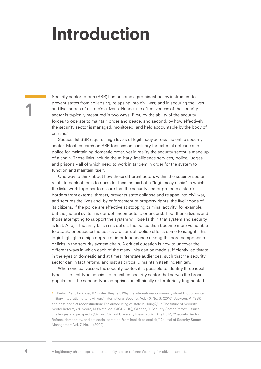### Introduction

Security sector reform (SSR) has become a prominent policy instrument to prevent states from collapsing, relapsing into civil war, and in securing the lives and livelihoods of a state's citizens. Hence, the effectiveness of the security sector is typically measured in two ways. First, by the ability of the security forces to operate to maintain order and peace, and second, by how effectively the security sector is managed, monitored, and held accountable by the body of citizens.<sup>1</sup>

Successful SSR requires high levels of legitimacy across the entire security sector. Most research on SSR focuses on a military for external defence and police for maintaining domestic order, yet in reality the security sector is made up of a chain. These links include the military, intelligence services, police, judges, and prisons – all of which need to work in tandem in order for the system to function and maintain itself.

One way to think about how these different actors within the security sector relate to each other is to consider them as part of a "legitimacy chain" in which the links work together to ensure that the security sector protects a state's borders from external threats, prevents state collapse and relapse into civil war, and secures the lives and, by enforcement of property rights, the livelihoods of its citizens. If the police are effective at stopping criminal activity, for example, but the judicial system is corrupt, incompetent, or understaffed, then citizens and those attempting to support the system will lose faith in that system and security is lost. And, if the army fails in its duties, the police then become more vulnerable to attack, or because the courts are corrupt, police efforts come to naught. This logic highlights a high degree of interdependence among the core components or links in the security system chain. A critical question is how to uncover the different ways in which each of the many links can be made sufficiently legitimate in the eyes of domestic and at times interstate audiences, such that the security sector can in fact reform, and just as critically, maintain itself indefinitely.

When one canvasses the security sector, it is possible to identify three ideal types. The first type consists of a unified security sector that serves the broad population. The second type comprises an ethnically or territorially fragmented

1 Krebs, R and Licklider, R "United they fall: Why the international community should not promote military integration after civil war," International Security, Vol. 40, No. 3, (2016); Jackson, P, "SSR and post-conflict reconstruction: The armed wing of state-building?," in The future of Security Sector Reform, ed. Sedra, M (Waterloo: CIGI, 2010); Chanaa, J, Security Sector Reform: Issues, challenges and prospects (Oxford: Oxford University Press, 2002); Knight, M, "Security Sector Reform, democracy, and tire social contract: From implicit to explicit," Journal of Security Sector Management Vol. 7, No. 1, (2009).

1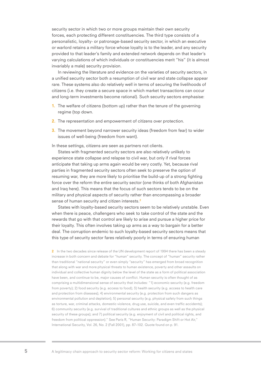security sector in which two or more groups maintain their own security forces, each protecting different constituencies. The third type consists of a personalistic, loyalty- or patronage-based security sector, in which an executive or warlord retains a military force whose loyalty is to the leader, and any security provided to that leader's family and extended network depends on that leader's varying calculations of which individuals or constituencies merit "his" (it is almost invariably a male) security provision.

In reviewing the literature and evidence on the varieties of security sectors, in a unified security sector both a resumption of civil war and state collapse appear rare. These systems also do relatively well in terms of securing the livelihoods of citizens (i.e. they create a secure space in which market transactions can occur and long-term investments become rational). Such security sectors emphasise:

- 1. The welfare of citizens (bottom up) rather than the tenure of the governing regime (top down.
- 2. The representation and empowerment of citizens over protection.
- 3. The movement beyond narrower security ideas (freedom from fear) to wider issues of well-being (freedom from want).
- In these settings, citizens are seen as partners not clients.

States with fragmented security sectors are also relatively unlikely to experience state collapse and relapse to civil war, but only if rival forces anticipate that taking up arms again would be very costly. Yet, because rival parties in fragmented security sectors often seek to preserve the option of resuming war, they are more likely to prioritise the build-up of a strong fighting force over the reform the entire security sector (one thinks of both Afghanistan and Iraq here). This means that the focus of such sectors tends to be on the military and physical aspects of security rather than encompassing a broader sense of human security and citizen interests.<sup>2</sup>

States with loyalty-based security sectors seem to be relatively unstable. Even when there is peace, challengers who seek to take control of the state and the rewards that go with that control are likely to arise and pursue a higher price for their loyalty. This often involves taking up arms as a way to bargain for a better deal. The corruption endemic to such loyalty-based security sectors means that this type of security sector fares relatively poorly in terms of ensuring human

2 In the two decades since release of the UN development report of 1994 there has been a steady increase in both concern and debate for "human" security. The concept of "human" security rather than traditional "national security" or even simply "security" has emerged from broad recognition that along with war and more physical threats to human existence, poverty and other assaults on individual and collective human dignity below the level of the state as a form of political association have been, and continue to be, major causes of conflict. Human security is often thought of as comprising a multidimensional sense of security that includes: "1) economic security (e.g. freedom from poverty); 2) food security (e.g. access to food); 3) health security (e.g. access to health care and protection from diseases); 4) environmental security (e.g. protection from such dangers as environmental pollution and depletion); 5) personal security (e.g. physical safety from such things as torture, war, criminal attacks, domestic violence, drug use, suicide, and even traffic accidents); 6) community security (e.g. survival of traditional cultures and ethnic groups as well as the physical security of these groups); and 7) political security (e.g. enjoyment of civil and political rights, and freedom from political oppression)." See Paris R, "Human Security: Paradigm Shift or Hot Air," International Security, Vol. 26, No. 2 (Fall 2001), pp. 87–102. Quote found on p. 91.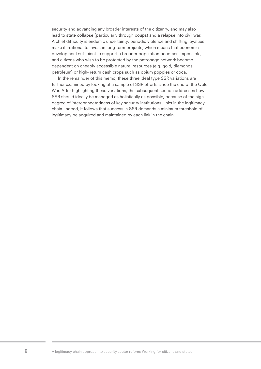security and advancing any broader interests of the citizenry, and may also lead to state collapse (particularly through coups) and a relapse into civil war. A chief difficulty is endemic uncertainty: periodic violence and shifting loyalties make it irrational to invest in long-term projects, which means that economic development sufficient to support a broader population becomes impossible, and citizens who wish to be protected by the patronage network become dependent on cheaply accessible natural resources (e.g. gold, diamonds, petroleum) or high- return cash crops such as opium poppies or coca.

In the remainder of this memo, these three ideal type SSR variations are further examined by looking at a sample of SSR efforts since the end of the Cold War. After highlighting these variations, the subsequent section addresses how SSR should ideally be managed as holistically as possible, because of the high degree of interconnectedness of key security institutions: links in the legitimacy chain. Indeed, it follows that success in SSR demands a minimum threshold of legitimacy be acquired and maintained by each link in the chain.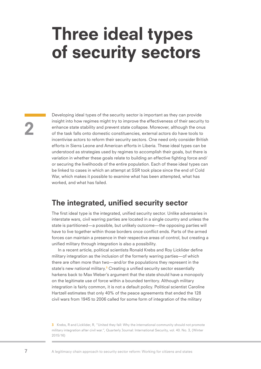### Three ideal types of security sectors

Developing ideal types of the security sector is important as they can provide insight into how regimes might try to improve the effectiveness of their security to enhance state stability and prevent state collapse. Moreover, although the onus of the task falls onto domestic constituencies, external actors do have tools to incentivise actors to reform their security sectors. One need only consider British efforts in Sierra Leone and American efforts in Liberia. These ideal types can be understood as strategies used by regimes to accomplish their goals, but there is variation in whether these goals relate to building an effective fighting force and/ or securing the livelihoods of the entire population. Each of these ideal types can be linked to cases in which an attempt at SSR took place since the end of Cold War, which makes it possible to examine what has been attempted, what has worked, and what has failed.

#### The integrated, unified security sector

The first ideal type is the integrated, unified security sector. Unlike adversaries in interstate wars, civil warring parties are located in a single country and unless the state is partitioned—a possible, but unlikely outcome—the opposing parties will have to live together within those borders once conflict ends. Parts of the armed forces can maintain a presence in their respective areas of control, but creating a unified military through integration is also a possibility.

In a recent article, political scientists Ronald Krebs and Roy Licklider define military integration as the inclusion of the formerly warring parties—of which there are often more than two—and/or the populations they represent in the state's new national military.<sup>3</sup> Creating a unified security sector essentially harkens back to Max Weber's argument that the state should have a monopoly on the legitimate use of force within a bounded territory. Although military integration is fairly common, it is not a default policy. Political scientist Caroline Hartzell estimates that only 40% of the peace agreements that ended the 128 civil wars from 1945 to 2006 called for some form of integration of the military

**<sup>3</sup>** Krebs, R and Licklider, R, "United they fall: Why the international community should not promote military integration after civil war.", Quarterly Journal: International Security, vol. 40. No. 3, (Winter 2015/16)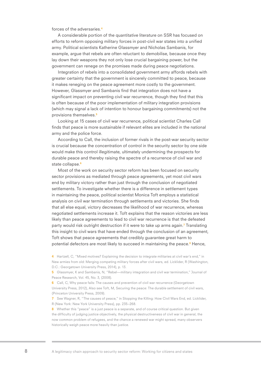forces of the adversaries.<sup>4</sup>

A considerable portion of the quantitative literature on SSR has focused on efforts to reform opposing military forces in post-civil war states into a unified army. Political scientists Katherine Glassmyer and Nicholas Sambanis, for example, argue that rebels are often reluctant to demobilise, because once they lay down their weapons they not only lose crucial bargaining power, but the government can renege on the promises made during peace negotiations.

Integration of rebels into a consolidated government army affords rebels with greater certainty that the government is sincerely committed to peace, because it makes reneging on the peace agreement more costly to the government. However, Glassmyer and Sambanis find that integration does not have a significant impact on preventing civil war recurrence, though they find that this is often because of the poor implementation of military integration provisions (which may signal a lack of intention to honour bargaining commitments) not the provisions themselves.<sup>5</sup>

Looking at 15 cases of civil war recurrence, political scientist Charles Call finds that peace is more sustainable if relevant elites are included in the national army and the police force.

According to Call, the inclusion of former rivals in the post-war security sector is crucial because the concentration of control in the security sector by one side would make this control illegitimate, ultimately undermining the prospects for durable peace and thereby raising the spectre of a recurrence of civil war and state collapse.<sup>6</sup>

Most of the work on security sector reform has been focused on security sector provisions as mediated through peace agreements, yet most civil wars end by military victory rather than just through the conclusion of negotiated settlements. To investigate whether there is a difference in settlement types in maintaining the peace, political scientist Monica Toft employs a statistical analysis on civil war termination through settlements and victories. She finds that all else equal, victory decreases the likelihood of war recurrence, whereas negotiated settlements increase it. Toft explains that the reason victories are less likely than peace agreements to lead to civil war recurrence is that the defeated party would risk outright destruction if it were to take up arms again.<sup>7</sup> Translating this insight to civil wars that have ended through the conclusion of an agreement, Toft shows that peace agreements that credibly guarantee great harm to potential defectors are most likely to succeed in maintaining the peace.<sup>8</sup> Hence,

4 Hartzell, C, "Mixed motives? Explaining the decision to integrate militaries at civil war's end," in New armies from old: Merging competing military forces after civil wars, ed. Licklider, R (Washington, D.C.: Georgetown University Press, 2014), p. 13.

5 Glassmyer, K and Sambanis, N. "Rebel—military integration and civil war termination," Journal of Peace Research, Vol. 45, No. 3, (2008).

6 Call, C, Why peace fails: The causes and prevention of civil war recurrence (Georgetown University Press, 2012), Also see Toft, M, Securing the peace: The durable settlement of civil wars, (Princeton University Press, 2009).

7 See Wagner, R, "The causes of peace," in Stopping the Killing: How Civil Wars End, ed. Licklider, R (New York: New York University Press), pp. 235–268.

8 Whether this "peace" is a just peace is a separate, and of course critical question. But given the difficulty of judging justice objectively, the physical destructiveness of civil war in general, the now common problem of refugees, and the chance a renewed war might spread, many observers historically weigh peace more heavily than justice.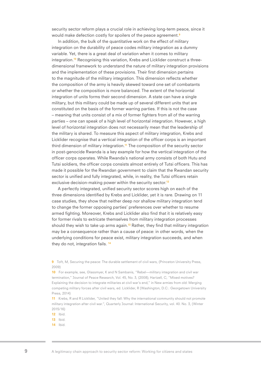security sector reform plays a crucial role in achieving long-term peace, since it would make defection costly for spoilers of the peace agreement.<sup>9</sup>

In addition, the bulk of the quantitative work on the effect of military integration on the durability of peace codes military integration as a dummy variable. Yet, there is a great deal of variation when it comes to military integration.<sup>10</sup> Recognising this variation, Krebs and Licklider construct a threedimensional framework to understand the nature of military integration provisions and the implementation of these provisions. Their first dimension pertains to the magnitude of the military integration. This dimension reflects whether the composition of the army is heavily skewed toward one set of combatants or whether the composition is more balanced. The extent of the horizontal integration of units forms their second dimension. A state can have a single military, but this military could be made up of several different units that are constituted on the basis of the former warring parties. If this is not the case – meaning that units consist of a mix of former fighters from all of the warring parties – one can speak of a high level of horizontal integration. However, a high level of horizontal integration does not necessarily mean that the leadership of the military is shared. To measure this aspect of military integration, Krebs and Licklider recognise that a vertical integration of the officer corps is an important third dimension of military integration.<sup>11</sup> The composition of the security sector in post-genocide Rwanda is a key example for how the vertical integration of the officer corps operates. While Rwanda's national army consists of both Hutu and Tutsi soldiers, the officer corps consists almost entirely of Tutsi officers. This has made it possible for the Rwandan government to claim that the Rwandan security sector is unified and fully integrated, while, in reality, the Tutsi officers retain exclusive decision-making power within the security sector.<sup>12</sup>

A perfectly integrated, unified security sector scores high on each of the three dimensions identified by Krebs and Licklider, yet it is rare. Drawing on 11 case studies, they show that neither deep nor shallow military integration tend to change the former opposing parties' preferences over whether to resume armed fighting. Moreover, Krebs and Licklider also find that it is relatively easy for former rivals to extricate themselves from military integration processes should they wish to take up arms again.<sup>13</sup> Rather, they find that military integration may be a consequence rather than a cause of peace: in other words, when the underlying conditions for peace exist, military integration succeeds, and when they do not, integration fails.<sup>14</sup>

9 Toft, M, Securing the peace: The durable settlement of civil wars, (Princeton University Press, 2009)

10 For example, see, Glassmyer, K and N Sambanis, "Rebel—military integration and civil war termination," Journal of Peace Research, Vol. 45, No. 3, (2008); Hartzell, C, "Mixed motives? Explaining the decision to integrate militaries at civil war's end," in New armies from old: Merging competing military forces after civil wars, ed. Licklider, R (Washington, D.C.: Georgetown University Press, 2014)

11 Krebs, R and R Licklider, "United they fall: Why the international community should not promote military integration after civil war.", Quarterly Journal: International Security, vol. 40. No. 3, (Winter 2015/16)

12 Ibid.

**13** Ibid.

14 Ibid.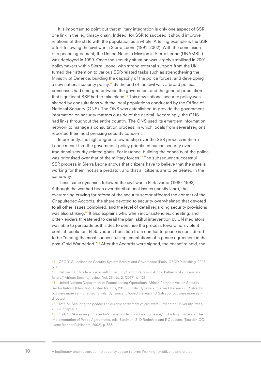It is important to point out that military integration is only one aspect of SSR, one link in the legitimacy chain. Indeed, for SSR to succeed it should improve relations of the state with the population as a whole. A telling example is the SSR effort following the civil war in Sierra Leone (1991–2002). With the conclusion of a peace agreement, the United Nations Mission in Sierra Leone (UNAMSIL) was deployed in 1999. Once the security situation was largely stabilised in 2001, policymakers within Sierra Leone, with strong external support from the UK, turned their attention to various SSR-related tasks such as strengthening the Ministry of Defence, building the capacity of the police forces, and developing a new national security policy.<sup>15</sup> By the end of the civil war, a broad political consensus had emerged between the government and the general population that significant SSR had to take place.<sup>16</sup> This new national security policy was shaped by consultations with the local populations conducted by the Office of National Security (ONS). The ONS was established to provide the government information on security matters outside of the capital. Accordingly, the ONS had links throughout the entire country. The ONS used its emergent information network to manage a consultation process, in which locals from several regions reported their most pressing security concerns.

Importantly, the high degree of ownership over the SSR process in Sierra Leone meant that the government policy prioritised human security over traditional security-related goals. For instance, building the capacity of the police was prioritised over that of the military forces.<sup>17</sup> The subsequent successful SSR process in Sierra Leone shows that citizens have to believe that the state is working for them, not as a predator, and that all citizens are to be treated in the same way.

These same dynamics followed the civil war in El Salvador (1980–1992). Although the war had been over distributional issues (mostly land), the overarching craving for reform of the security sector affected the content of the Chapultepec Accords; the share devoted to security overwhelmed that devoted to all other issues combined, and the level of detail regarding security provisions was also striking.<sup>18</sup> It also explains why, when inconsistencies, cheating, and bitter- enders threatened to derail the plan, skilful intervention by UN mediators was able to persuade both sides to continue the process toward non-violent conflict resolution. El Salvador's transition from conflict to peace is considered to be "among the most successful implementations of a peace agreement in the post-Cold War period."19 After the Accords were signed, the ceasefire held, the

15 OECD, Guidelines on Security System Reform and Governance (Paris: OECD Publishing, 2005), p. 46.

16 Detzner, S, "Modern post-conflict Security Sector Reform in Africa: Patterns of success and failure," African Security review, Vol. 26, No. 2, (2017), p. 123.

17 United Nations Department of Peacekeeping Operations, African Perspectives on Security Sector Reform (New York: United Nations, 2010). Similar dynamics followed the war in El Salvador but were more self- directed. Similar dynamics followed the war in El Salvador but were more selfdirected.

18 Toft, M, Securing the peace: The durable settlement of civil wars, (Princeton University Press, 2009), chapter 7.

19 Call, C, "Assessing El Salvador's transition from civil war to peace," in Ending Civil Wars: The Implementation of Peace Agreements, eds. Stedman, S, D Rothchild and E Cousens, (Boulder, CO: Lynne Rienner Publishers, 2002), p. 383.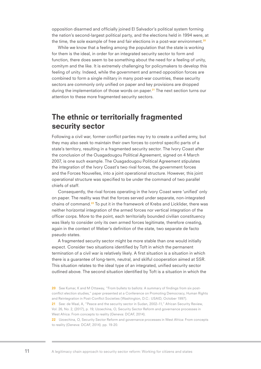opposition disarmed and officially joined El Salvador's political system forming the nation's second-largest political party, and the elections held in 1994 were, at the time, the sole example of free and fair elections in a post-war environment.<sup>20</sup>

While we know that a feeling among the population that the state is working for them is the ideal, in order for an integrated security sector to form and function, there does seem to be something about the need for a feeling of unity, comitym and the like. It is extremely challenging for policymakers to develop this feeling of unity. Indeed, while the government and armed opposition forces are combined to form a single military in many post-war countries, these security sectors are commonly only unified on paper and key provisions are dropped during the implementation of those words on paper.<sup>21</sup> The next section turns our attention to these more fragmented security sectors.

#### The ethnic or territorially fragmented security sector

Following a civil war, former conflict parties may try to create a unified army, but they may also seek to maintain their own forces to control specific parts of a state's territory, resulting in a fragmented security sector. The Ivory Coast after the conclusion of the Ouagadougou Political Agreement, signed on 4 March 2007, is one such example. The Ouagadougou Political Agreement stipulates the integration of the Ivory Coast's two rival forces, the government forces and the Forces Nouvelles, into a joint operational structure. However, this joint operational structure was specified to be under the command of two parallel chiefs of staff.

Consequently, the rival forces operating in the Ivory Coast were 'unified' only on paper. The reality was that the forces served under separate, non-integrated chains of command.<sup>22</sup> To put it in the framework of Krebs and Licklider, there was neither horizontal integration of the armed forces nor vertical integration of the officer corps. More to the point, each territorially bounded civilian constituency was likely to consider only its own armed forces legitimate, therefore creating, again in the context of Weber's definition of the state, two separate de facto pseudo states.

A fragmented security sector might be more stable than one would initially expect. Consider two situations identified by Toft in which the permanent termination of a civil war is relatively likely. A first situation is a situation in which there is a guarantee of long-term, neutral, and skilful cooperation aimed at SSR. This situation relates to the ideal type of an integrated, unified security sector outlined above. The second situation identified by Toft is a situation in which the

20 See Kumar, K and M Ottaway, "From bullets to ballots: A summary of findings from six postconflict election studies," paper presented at a Conference on Promoting Democracy, Human Rights and Reintegration in Post-Conflict Societies (Washington, D.C.: USAID, October 1997).

21 See: de Waal, A, "Peace and the security sector in Sudan, 2002-11," African Security Review, Vol. 26, No. 2, (2017), p. 19; Uzoechina, O, Security Sector Reform and governance processes in West Africa: From concepts to reality (Geneva: DCAF, 2014).

22 Uzoechina, O, Security Sector Reform and governance processes in West Africa: From concepts to reality (Geneva: DCAF, 2014). pp. 19-20.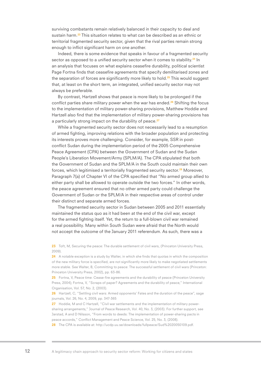surviving combatants remain relatively balanced in their capacity to deal and sustain harm.<sup>23</sup> This situation relates to what can be described as an ethnic or territorial fragmented security sector, given that the rival parties remain strong enough to inflict significant harm on one another.

Indeed, there is some evidence that speaks in favour of a fragmented security sector as opposed to a unified security sector when it comes to stability.<sup>24</sup> In an analysis that focuses on what explains ceasefire durability, political scientist Page Fortna finds that ceasefire agreements that specify demilitarised zones and the separation of forces are significantly more likely to hold.<sup>25</sup> This would suggest that, at least on the short term, an integrated, unified security sector may not always be preferable.

By contrast, Hartzell shows that peace is more likely to be prolonged if the conflict parties share military power when the war has ended.<sup>26</sup> Shifting the focus to the implementation of military power-sharing provisions, Matthew Hoddie and Hartzell also find that the implementation of military power-sharing provisions has a particularly strong impact on the durability of peace.<sup>27</sup>

While a fragmented security sector does not necessarily lead to a resumption of armed fighting, improving relations with the broader population and protecting its interests proves more challenging. Consider, for example, SSR in postconflict Sudan during the implementation period of the 2005 Comprehensive Peace Agreement (CPA) between the Government of Sudan and the Sudan People's Liberation Movement/Army (SPLM/A). The CPA stipulated that both the Government of Sudan and the SPLM/A in the South could maintain their own forces, which legitimised a territorially fragmented security sector.<sup>28</sup> Moreover, Paragraph 7(a) of Chapter VI of the CPA specified that "No armed group allied to either party shall be allowed to operate outside the two forces." In other words, the peace agreement ensured that no other armed party could challenge the Government of Sudan or the SPLM/A in their respective areas of control under their distinct and separate armed forces.

The fragmented security sector in Sudan between 2005 and 2011 essentially maintained the status quo as it had been at the end of the civil war, except for the armed fighting itself. Yet, the return to a full-blown civil war remained a real possibility. Many within South Sudan were afraid that the North would not accept the outcome of the January 2011 referendum. As such, there was a

23 Toft, M, Securing the peace: The durable settlement of civil wars, (Princeton University Press, 2009).

24 A notable exception is a study by Walter, in which she finds that quotas in which the composition of the new military force is specified, are not significantly more likely to make negotiated settlements more stable. See Walter, B, Committing to peace: The successful settlement of civil wars (Princeton: Princeton University Press, 2002), pp. 63-86.

25 Fortna, V, Peace time: Cease-fire agreements and the durability of peace (Princeton University Press, 2004); Fortna, V, "Scraps of paper? Agreements and the durability of peace," International Organisation, Vol. 57, No. 2, (2003).

26 Hartzell, C, "Settling civil wars: Armed opponents' Fates and the duration of the peace", sage journals, Vol. 26, No. 4, 2009, pp. 347-365

27 Hoddie, M and C Hartzell, "Civil war settlements and the implementation of military powersharing arrangements," Journal of Peace Research, Vol. 40, No. 3, (2003). For further support, see Jarstad, A and D Nilsson, "From words to deeds: The implementation of power-sharing pacts in peace accords," Conflict Management and Peace Science, Vol. 25, No. 3, (2008).

28 The CPA is available at: http://ucdp.uu.se/downloads/fullpeace/Sud%2020050109.pdf.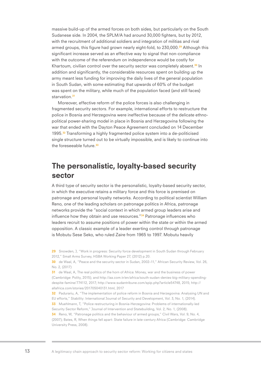massive build-up of the armed forces on both sides, but particularly on the South Sudanese side. In 2004, the SPLM/A had around 30,000 fighters, but by 2012, with the recruitment of additional soldiers and integration of militias and rival armed groups, this figure had grown nearly eight-fold, to  $230,000$ .<sup>29</sup> Although this significant increase served as an effective way to signal that non-compliance with the outcome of the referendum on independence would be costly for Khartoum, civilian control over the security sector was completely absent.<sup>30</sup> In addition and significantly, the considerable resources spent on building up the army meant less funding for improving the daily lives of the general population in South Sudan, with some estimating that upwards of 60% of the budget was spent on the military, while much of the population faced (and still faces) starvation.<sup>31</sup>

Moreover, effective reform of the police forces is also challenging in fragmented security sectors. For example, international efforts to restructure the police in Bosnia and Herzegovina were ineffective because of the delicate ethnopolitical power-sharing model in place in Bosnia and Herzegovina following the war that ended with the Dayton Peace Agreement concluded on 14 December 1995.<sup>32</sup> Transforming a highly fragmented police system into a de-politicised single structure turned out to be virtually impossible, and is likely to continue into the foreseeable future.<sup>33</sup>

#### The personalistic, loyalty-based security sector

A third type of security sector is the personalistic, loyalty-based security sector, in which the executive retains a military force and this force is premised on patronage and personal loyalty networks. According to political scientist William Reno, one of the leading scholars on patronage politics in Africa, patronage networks provide the "social context in which armed group leaders arise and influence how they obtain and use resources.<sup>"34</sup> Patronage influences who leaders recruit to assume positions of power within the state or within the armed opposition. A classic example of a leader exerting control through patronage is Mobutu Sese Seko, who ruled Zaire from 1965 to 1997. Mobutu heavily

32 Padurariu, A, "The implementation of police reform in Bosnia and Herzegovina: Analysing UN and EU efforts," Stability: International Journal of Security and Development, Vol. 3, No. 1, (2014).

33 Muehlmann, T, "Police restructuring in Bosnia-Herzegovina: Problems of internationally-led Security Sector Reform," Journal of Intervention and Statebuilding, Vol. 2, No. 1, (2008).

34 Reno, W, "Patronage politics and the behaviour of armed groups," Civil Wars, Vol. 9, No. 4, (2007); Bates, R, When things fell apart: State failure in late-century Africa (Cambridge: Cambridge University Press, 2008).

<sup>29</sup> Snowden, J. "Work in progress: Security force development in South Sudan through February 2012," Small Arms Survey, HSBA Working Paper 27, (2012) p.20.

<sup>30</sup> de Waal, A, "Peace and the security sector in Sudan, 2002-11," African Security Review, Vol. 26, No. 2, (2017)

<sup>31</sup> de Waal, A, The real politics of the horn of Africa: Money, war and the business of power (Cambridge: Polity, 2015); and http://aa.com.tr/en/africa/south-sudan-denies-big-military-spendingdespite-famine/774112, 2017; http://www.sudantribune.com/spip.php?article54748, 2015; http:// allafrica.com/stories/201705040131.html, 2017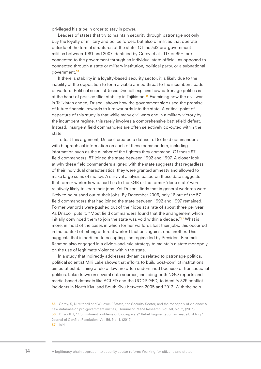privileged his tribe in order to stay in power.

Leaders of states that try to maintain security through patronage not only buy the loyalty of military and police forces, but also of militias that operate outside of the formal structures of the state. Of the 332 pro-government militias between 1981 and 2007 identified by Carey et al., 117 or 35% are connected to the government through an individual state official, as opposed to connected through a state or military institution, political party, or a subnational government.<sup>35</sup>

If there is stability in a loyalty-based security sector, it is likely due to the inability of the opposition to form a viable armed threat to the incumbent leader or warlord. Political scientist Jesse Driscoll explains how patronage politics is at the heart of post-conflict stability in Tajikistan.<sup>36</sup> Examining how the civil war in Tajikistan ended, Driscoll shows how the government side used the promise of future financial rewards to lure warlords into the state. A critical point of departure of this study is that while many civil wars end in a military victory by the incumbent regime, this rarely involves a comprehensive battlefield defeat. Instead, insurgent field commanders are often selectively co-opted within the state.

To test this argument, Driscoll created a dataset of 97 field commanders with biographical information on each of these commanders, including information such as the number of the fighters they command. Of these 97 field commanders, 57 joined the state between 1992 and 1997. A closer look at why these field commanders aligned with the state suggests that regardless of their individual characteristics, they were granted amnesty and allowed to make large sums of money. A survival analysis based on these data suggests that former warlords who had ties to the KGB or the former 'deep state' were relatively likely to keep their jobs. Yet Driscoll finds that in general warlords were likely to be pushed out of their jobs. By December 2006, only 16 out of the 57 field commanders that had joined the state between 1992 and 1997 remained. Former warlords were pushed out of their jobs at a rate of about three per year. As Driscoll puts it, "Most field commanders found that the arrangement which initially convinced them to join the state was void within a decade."<sup>37</sup> What is more, in most of the cases in which former warlords lost their jobs, this occurred in the context of pitting different warlord factions against one another. This suggests that in addition to co-opting, the regime led by President Emomali Rahmon also engaged in a divide-and-rule strategy to maintain a state monopoly on the use of legitimate violence within the state.

In a study that indirectly addresses dynamics related to patronage politics, political scientist Milli Lake shows that efforts to build post-conflict institutions aimed at establishing a rule of law are often undermined because of transactional politics. Lake draws on several data sources, including both NGO reports and media-based datasets like ACLED and the UCDP GED, to identify 329 conflict incidents in North Kivu and South Kivu between 2005 and 2012. With the help

<sup>35</sup> Carey, S, N Mitchell and W Lowe, "States, the Security Sector, and the monopoly of violence: A new database on pro-government militias," Journal of Peace Research, Vol. 50, No. 2, (2013). 36 Driscoll, J, "Commitment problems or bidding wars? Rebel fragmentation as peace building," Journal of Conflict Resolution, Vol. 56, No. 1, (2012). 37 Ibid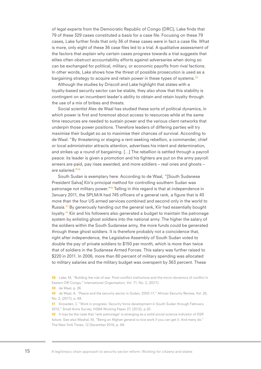of legal experts from the Democratic Republic of Congo (DRC), Lake finds that 79 of these 329 cases constituted a basis for a case file. Focusing on these 79 cases, Lake further finds that only 36 of these cases were in fact a case file. What is more, only eight of these 36 case files led to a trial. A qualitative assessment of the factors that explain why certain cases progress towards a trial suggests that elites often obstruct accountability efforts against adversaries when doing so can be exchanged for political, military, or economic payoffs from rival factions. In other words, Lake shows how the threat of possible prosecution is used as a bargaining strategy to acquire and retain power in these types of systems.<sup>38</sup>

Although the studies by Driscoll and Lake highlight that states with a loyalty-based security sector can be stable, they also show that this stability is contingent on an incumbent leader's ability to obtain and retain loyalty through the use of a mix of bribes and threats.

Social scientist Alex de Waal has studied these sorts of political dynamics, in which power is first and foremost about access to resources while at the same time resources are needed to sustain power and the various client networks that underpin those power positions. Therefore leaders of differing parties will try maximise their budget so as to maximise their chances of survival. According to de Waal: "By threatening or staging a rent-seeking rebellion, a commander, chief or local administrator attracts attention, advertises his intent and determination, and strikes up a round of bargaining. […] The rebellion is settled through a payroll peace: its leader is given a promotion and his fighters are put on the army payroll: arrears are paid, pay rises awarded, and more soldiers – real ones and ghosts – are salaried."<sup>39</sup>

South Sudan is exemplary here. According to de Waal, "[South Sudanese President Salva] Kiir's principal method for controlling southern Sudan was patronage not military power."<sup>40</sup> Telling in this regard is that at independence in January 2011, the SPLM/A had 745 officers of a general rank, a figure that is 40 more than the four US armed services combined and second only in the world to Russia.41 By generously handing out the general rank, Kiir had essentially bought loyalty.<sup>42</sup> Kiir and his followers also generated a budget to maintain the patronage system by enlisting ghost soldiers into the national army. The higher the salary of the soldiers within the South Sudanese army, the more funds could be generated through these ghost soldiers. It is therefore probably not a coincidence that, right after independence, the Legislative Assembly of South Sudan voted to double the pay of private soldiers to \$150 per month, which is more than twice that of soldiers in the Sudanese Armed Forces. This salary was further raised to \$220 in 2011. In 2006, more than 80 percent of military spending was allocated to military salaries and the military budget was overspent by 363 percent. These

40 de Waal, A, "Peace and the security sector in Sudan, 2002–11," African Security Review, Vol. 26, No. 2, (2017), p. 88.

41 Snowden, J, "Work in progress: Security force development in South Sudan through February 2012," Small Arms Survey, HSBA Working Paper 27, (2012), p.20.

42 It may be the case that 'rank patronage' is emerging as a solid social science indicator of SSR failure. See also Mashal, M, "Being an Afghan general is nice work if you can get it. And many do." The New York Times, 12 December 2016, p. A9.

<sup>38</sup> Lake, M, "Building the rule of war: Post-conflict institutions and the micro-dynamics of conflict in Eastern DR Congo," International Organisation, Vol. 71, No. 2, (2017).

**<sup>39</sup>** de Waal, p. 26.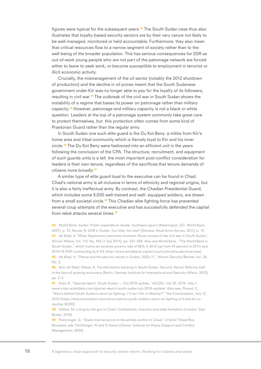figures were typical for the subsequent years.<sup>43</sup> The South Sudan case thus also illustrates that loyalty-based security sectors are by their very nature not likely to be well-managed, monitored or held accountable. Furthermore, they also mean that critical resources flow to a narrow segment of society rather than to the well-being of the broader population. This has serious consequences for SSR as out-of-work young people who are not part of the patronage network are forced either to leave to seek work, or become susceptible to employment in terrorist or illicit economic activity.

Crucially, the mismanagement of the oil sector (notably the 2012 shutdown of production) and the decline in oil prices meant that the South Sudanese government under Kiir was no longer able to pay for the loyalty of its followers, resulting in civil war.44 The outbreak of the civil war in South Sudan shows the instability of a regime that bases its power on patronage rather than military capacity.45 However, patronage and military capacity is not a black or white question. Leaders at the top of a patronage system commonly take great care to protect themselves, but this protection often comes from some kind of Praetorian Guard rather than the regular army.

In South Sudan one such elite guard is the Du Kot Beny: a militia from Kiir's home area and tribal community which is fiercely loyal to Kiir and his inner circle.46 The Du Kot Beny were fashioned into an efficient unit in the years following the conclusion of the CPA. The structure, recruitment, and equipment of such guards units is a tell: the most important post-conflict consideration for leaders is their own tenure, regardless of the sacrifices that tenure demands of citizens more broadly.<sup>47</sup>

A similar type of elite guard loyal to the executive can be found in Chad. Chad's national army is all-inclusive in terms of ethnicity and regional origins, but it is also a fairly ineffectual army. By contrast, the Chadian Presidential Guard, which includes some 5,000 well-trained and well- equipped soldiers, are drawn from a small societal circle.<sup>48</sup> This Chadian elite fighting force has prevented several coup attempts of the executive and has successfully defended the capital from rebel attacks several times.<sup>49</sup>

43 World Bank, Sudan: Public expenditure review, Synthesis report (Washington, DC: World Bank, 2007), p. 72; Nicols, R, DDR in Sudan: Too little, too late? (Geneva: Small Arms Survey, 2011), p. 14. 44 de Waal, A "When kleptocracy becomes insolvent: Brute causes of the civil war in South Sudan," African Affairs, Vol. 113, No. 452 (1 July 2014), pp. 347–369. Also see World Bank, "The World Bank in South Sudan," which claims an extreme poverty rate of 66% in 2015 (up from 45 percent in 2011) and 2015/16 GDP contracting by 6.3% (http://www.worldbank.org/en/country/southsudan/overview). 45 de Waal, A, "Peace and the security sector in Sudan, 2002-11," African Security Review, Vol. 26,

No. 2,

46 Ibid; de Waal; Weber, A, Transformation backlog in South Sudan: Security Sector Reforms stall in the face of growing autocracy (Berlin: German Institute for International and Security Affairs, 2012), pp. 2–3.

47 Kishi, R, "Special report: South Sudan — July 2016 update," ACLED, July 26, 2016. http:// www.crisis.acleddata.com/special-report-south-sudan-july-2016-update/. Also see, Pinaud, C, "Who's behind South Sudan's return to fighting, if it isn't Kiir or Machar?" The Conversation, July 12, 2016 (https://theconversation.com/whos-behind-south-sudans-return-to-fighting-if-it-isnt-kiir-ormachar-62352).

48 Debos, M, Living by the gun in Chad: Combatants, impunity and state formation (London: Zed Books, 2016).

49 Pamminger, G, "State-internal actors in the armed conflict in Chad," in Eufor Tchad/Rca Revisited, eds. Feichtinger, W and G Hainzl (Vienna: Institute for Peace Support and Conflict Management, 2009).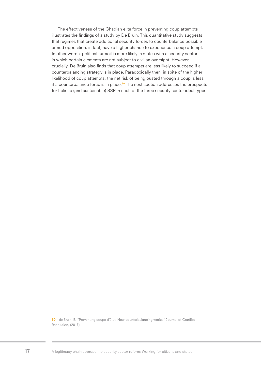The effectiveness of the Chadian elite force in preventing coup attempts illustrates the findings of a study by De Bruin. This quantitative study suggests that regimes that create additional security forces to counterbalance possible armed opposition, in fact, have a higher chance to experience a coup attempt. In other words, political turmoil is more likely in states with a security sector in which certain elements are not subject to civilian oversight. However, crucially, De Bruin also finds that coup attempts are less likely to succeed if a counterbalancing strategy is in place. Paradoxically then, in spite of the higher likelihood of coup attempts, the net risk of being ousted through a coup is less if a counterbalance force is in place. $50$  The next section addresses the prospects for holistic (and sustainable) SSR in each of the three security sector ideal types.

50 de Bruin, E, "Preventing coups d'état: How counterbalancing works," Journal of Conflict Resolution, (2017).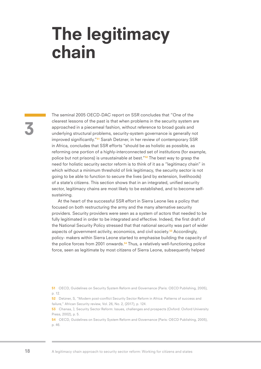### The legitimacy chain

3

The seminal 2005 OECD-DAC report on SSR concludes that "One of the clearest lessons of the past is that when problems in the security system are approached in a piecemeal fashion, without reference to broad goals and underlying structural problems, security-system governance is generally not improved significantly."<sup>51</sup> Sarah Detzner, in her review of contemporary SSR in Africa, concludes that SSR efforts "should be as holistic as possible, as reforming one portion of a highly-interconnected set of institutions (for example, police but not prisons) is unsustainable at best."<sup>52</sup> The best way to grasp the need for holistic security sector reform is to think of it as a "legitimacy chain" in which without a minimum threshold of link legitimacy, the security sector is not going to be able to function to secure the lives (and by extension, livelihoods) of a state's citizens. This section shows that in an integrated, unified security sector, legitimacy chains are most likely to be established, and to become selfsustaining.

At the heart of the successful SSR effort in Sierra Leone lies a policy that focused on both restructuring the army and the many alternative security providers. Security providers were seen as a system of actors that needed to be fully legitimated in order to be integrated and effective. Indeed, the first draft of the National Security Policy stressed that that national security was part of wider aspects of government activity, economics, and civil society.<sup>53</sup> Accordingly, policy- makers within Sierra Leone started to emphasise building the capacity of the police forces from 2001 onwards.<sup>54</sup> Thus, a relatively well-functioning police force, seen as legitimate by most citizens of Sierra Leone, subsequently helped

51 OECD, Guidelines on Security System Reform and Governance (Paris: OECD Publishing, 2005), p. 12.

52 Detzner, S, "Modern post-conflict Security Sector Reform in Africa: Patterns of success and failure," African Security review, Vol. 26, No. 2, (2017), p. 124.

53 Chanaa, J, Security Sector Reform: Issues, challenges and prospects (Oxford: Oxford University Press, 2002), p. 5.

54 OECD, Guidelines on Security System Reform and Governance (Paris: OECD Publishing, 2005), p. 46.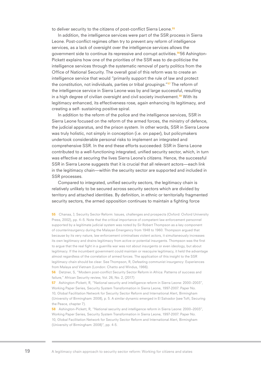to deliver security to the citizens of post-conflict Sierra Leone.<sup>55</sup>

In addition, the intelligence services were part of the SSR process in Sierra Leone. Post-conflict regimes often try to prevent any reform of intelligence services, as a lack of oversight over the intelligence services allows the government side to continue its repressive and corrupt activities.<sup>56</sup>56 Ashington-Pickett explains how one of the priorities of the SSR was to de-politicise the intelligence services through the systematic removal of party politics from the Office of National Security. The overall goal of this reform was to create an intelligence service that would "primarily support the rule of law and protect the constitution, not individuals, parties or tribal groupings."<sup>57</sup> The reform of the intelligence service in Sierra Leone was by and large successful, resulting in a high degree of civilian oversight and civil society involvement.<sup>58</sup> With its legitimacy enhanced, its effectiveness rose, again enhancing its legitimacy, and creating a self- sustaining positive spiral.

In addition to the reform of the police and the intelligence services, SSR in Sierra Leone focused on the reform of the armed forces, the ministry of defence, the judicial apparatus, and the prison system. In other words, SSR in Sierra Leone was truly holistic, not simply in conception (i.e. on paper), but policymakers undertook considerable personal risks to implement an integrated and comprehensive SSR. In the end these efforts succeeded: SSR in Sierra Leone contributed to a well-functioning integrated, unified security sector, which, in turn was effective at securing the lives Sierra Leone's citizens. Hence, the successful SSR in Sierra Leone suggests that it is crucial that all relevant actors—each link in the legitimacy chain—within the security sector are supported and included in SSR processes.

Compared to integrated, unified security sectors, the legitimacy chain is relatively unlikely to be secured across security sectors which are divided by territory and attached identities. By definition, in ethnic or territorially fragmented security sectors, the armed opposition continues to maintain a fighting force

55 Chanaa, J, Security Sector Reform: Issues, challenges and prospects (Oxford: Oxford University Press, 2002), pp. 4–5. Note that the critical importance of competent law enforcement personnel supported by a legitimate judicial system was noted by Sir Robert Thompson as a key component of counterinsurgency during the Malayan Emergency from 1948 to 1960. Thompson argued that because by its very nature, law enforcement criminalises violent actors, it simultaneously increases its own legitimacy and drains legitimacy from active or potential insurgents. Thompson was the first to argue that the real fight in a guerrilla war was not about insurgents or even ideology, but about legitimacy. If the incumbent government could maintain or reacquire legitimacy, it held the advantage almost regardless of the correlation of armed forces. The application of this insight to the SSR legitimacy chain should be clear. See Thompson, R, Defeating communist insurgency: Experiences from Malaya and Vietnam (London: Chatto and Windus, 1966).

56 Detzner, S, "Modern post-conflict Security Sector Reform in Africa: Patterns of success and failure," African Security review, Vol. 26, No. 2, (2017)

57 Ashington-Pickett, R, "National security and intelligence reform in Sierra Leone: 2000–2003", Working Paper Series, Security System Transformation in Sierra Leone, 1997-2007. Paper No. 10, Global Facilitation Network for Security Sector Reform and International Alert, Birmingham (University of Birmingham: 2008), p. 5. A similar dynamic emerged in El Salvador (see Toft, Securing the Peace, chapter 7).

58 Ashington-Pickett, R, "National security and intelligence reform in Sierra Leone: 2000–2003", Working Paper Series, Security System Transformation in Sierra Leone, 1997-2007. Paper No. 10, Global Facilitation Network for Security Sector Reform and International Alert, Birmingham (University of Birmingham: 2008)", pp. 4-5.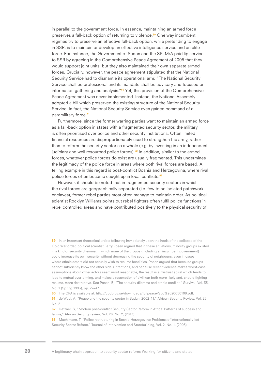in parallel to the government force. In essence, maintaining an armed force preserves a fall-back option of returning to violence.<sup>59</sup> One way incumbent regimes try to preserve an effective fall-back option, while pretending to engage in SSR, is to maintain or develop an effective intelligence service and an elite force. For instance, the Government of Sudan and the SPLM/A paid lip service to SSR by agreeing in the Comprehensive Peace Agreement of 2005 that they would support joint units, but they also maintained their own separate armed forces. Crucially, however, the peace agreement stipulated that the National Security Service had to dismantle its operational arm: "The National Security Service shall be professional and its mandate shall be advisory and focused on information gathering and analysis."60 Yet, this provision of the Comprehensive Peace Agreement was never implemented. Instead, the National Assembly adopted a bill which preserved the existing structure of the National Security Service. In fact, the National Security Service even gained command of a paramilitary force.<sup>61</sup>

Furthermore, since the former warring parties want to maintain an armed force as a fall-back option in states with a fragmented security sector, the military is often prioritised over police and other security institutions. Often limited financial resources are disproportionately used to strengthen the army, rather than to reform the security sector as a whole (e.g. by investing in an independent judiciary and well resourced police forces).<sup>62</sup> In addition, similar to the armed forces, whatever police forces do exist are usually fragmented. This undermines the legitimacy of the police force in areas where both rival forces are based. A telling example in this regard is post-conflict Bosnia and Herzegovina, where rival police forces often became caught up in local conflicts.<sup>63</sup>

However, it should be noted that in fragmented security sectors in which the rival forces are geographically separated (i.e. few to no isolated patchwork enclaves), former rebel parties most often manage to maintain order. As political scientist Rocklyn Williams points out rebel fighters often fulfil police functions in rebel controlled areas and have contributed positively to the physical security of

59 In an important theoretical article following immediately upon the heels of the collapse of the Cold War order, political scientist Barry Posen argued that in these situations, minority groups existed in a kind of security dilemma, in which none of the groups (including an incumbent government) could increase its own security without decreasing the security of neighbours, even in cases where ethnic actors did not actually wish to resume hostilities. Posen argued that because groups cannot sufficiently know the other side's intentions, and because recent violence makes worst-case assumptions about other actors seem most reasonable, the result is a mistrust spiral which tends to lead to mutual over-arming, and makes a resumption of civil war both more likely and, should fighting resume, more destructive. See Posen, B, "The security dilemma and ethnic conflict," Survival, Vol. 35, No. 1 (Spring 1993), pp. 27–47.

60 The CPA is available at: http://ucdp.uu.se/downloads/fullpeace/Sud%2020050109.pdf.

61 de Waal, A, "Peace and the security sector in Sudan, 2002–11," African Security Review, Vol. 26, No. 2

62 Detzner, S, "Modern post-conflict Security Sector Reform in Africa: Patterns of success and failure," African Security review, Vol. 26, No. 2, (2017)

63 Muehlmann, T, "Police restructuring in Bosnia-Herzegovina: Problems of internationally-led Security Sector Reform," Journal of Intervention and Statebuilding, Vol. 2, No. 1, (2008).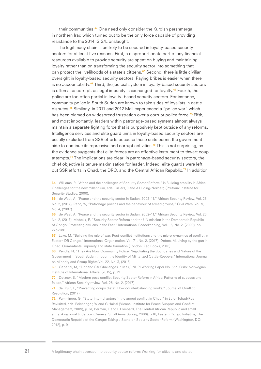their communities.<sup>64</sup> One need only consider the Kurdish pershmerga in northern Iraq which turned out to be the only force capable of providing resistance to the 2014 ISIS/L onslaught.

The legitimacy chain is unlikely to be secured in loyalty-based security sectors for at least five reasons. First, a disproportionate part of any financial resources available to provide security are spent on buying and maintaining loyalty rather than on transforming the security sector into something that can protect the livelihoods of a state's citizens.<sup>65</sup> Second, there is little civilian oversight in loyalty-based security sectors. Paying bribes is easier when there is no accountability.<sup>66</sup> Third, the judicial system in loyalty-based security sectors is often also corrupt, as legal impunity is exchanged for loyalty.<sup>67</sup> Fourth, the police are too often partial in loyalty- based security sectors. For instance, community police in South Sudan are known to take sides of loyalists in cattle disputes.<sup>68</sup> Similarly, in 2011 and 2012 Mali experienced a "police war" which has been blamed on widespread frustration over a corrupt police force.<sup>69</sup> Fifth, and most importantly, leaders within patronage-based systems almost always maintain a separate fighting force that is purposively kept outside of any reforms. Intelligence services and elite guard units in loyalty-based security sectors are usually excluded from SSR efforts because these units permit the government side to continue its repressive and corrupt activities.<sup>70</sup> This is not surprising, as the evidence suggests that elite forces are an effective instrument to thwart coup attempts.71 The implications are clear: in patronage-based security sectors, the chief objective is tenure maximisation for leader. Indeed, elite guards were left out SSR efforts in Chad, the DRC, and the Central African Republic.<sup>72</sup> In addition

64 Williams, R, "Africa and the challenges of Security Sector Reform," in Building stability in Africa: Challenges for the new millennium, eds. Cilliers, J and A Hilding-Norberg (Pretoria: Institute for Security Studies, 2000).

65 de Waal, A, "Peace and the security sector in Sudan, 2002–11," African Security Review, Vol. 26, No. 2, (2017); Reno, W, "Patronage politics and the behaviour of armed groups," Civil Wars, Vol. 9, No. 4, (2007)

66 de Waal, A, "Peace and the security sector in Sudan, 2002–11." African Security Review, Vol. 26. No. 2, (2017); Mobekk, E, "Security Sector Reform and the UN mission in the Democratic Republic of Congo: Protecting civilians in the East." International Peacekeeping, Vol. 16, No. 2, (2009), pp. 273–286.

67 Lake, M, "Building the rule of war: Post-conflict institutions and the micro-dynamics of conflict in Eastern DR Congo," International Organisation, Vol. 71, No. 2, (2017); Debos, M, Living by the gun in Chad: Combatants, impunity and state formation (London: Zed Books, 2016).

68 Pendle, N, "They Are Now Community Police: Negotiating the Boundaries and Nature of the Government in South Sudan through the Identity of Militarized Cattle-Keepers," International Journal on Minority and Group Rights Vol. 22, No. 3, (2016).

69 Caparini, M, "Ddr and Ssr Challenges in Mali," NUPI Working Paper No. 853. Oslo: Norwegian Institute of International Affairs, (2015), p. 21.

70 Detzner, S, "Modern post-conflict Security Sector Reform in Africa: Patterns of success and failure," African Security review, Vol. 26, No. 2, (2017)

71 de Bruin, E, "Preventing coups d'état: How counterbalancing works," Journal of Conflict Resolution, (2017)

72 Pamminger, G, "State-internal actors in the armed conflict in Chad," in Eufor Tchad/Rca Revisited, eds. Feichtinger, W and G Hainzl (Vienna: Institute for Peace Support and Conflict Management, 2009), p. 61; Berman, E and L Lombard, The Central African Republic and small arms: A regional tinderbox (Geneva: Small Arms Survey, 2008), p.16; Eastern Congo Initiative, The Democratic Republic of the Congo: Taking a Stand on Security Sector Reform (Washington, DC: 2012), p. 9.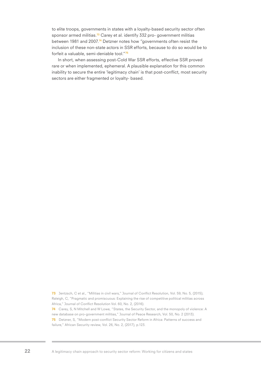to elite troops, governments in states with a loyalty-based security sector often sponsor armed militias.<sup>73</sup> Carey et al. identify 332 pro- government militias between 1981 and 2007.74 Detzner notes how "governments often resist the inclusion of these non-state actors in SSR efforts, because to do so would be to forfeit a valuable, semi-deniable tool."<sup>75</sup>

In short, when assessing post-Cold War SSR efforts, effective SSR proved rare or when implemented, ephemeral. A plausible explanation for this common inability to secure the entire 'legitimacy chain' is that post-conflict, most security sectors are either fragmented or loyalty- based.

73 Jentzsch, C et al., "Militias in civil wars," Journal of Conflict Resolution, Vol. 59, No. 5, (2015); Raleigh, C, "Pragmatic and promiscuous: Explaining the rise of competitive political militias across Africa," Journal of Conflict Resolution Vol. 60, No. 2, (2016). 74 Carey, S, N Mitchell and W Lowe, "States, the Security Sector, and the monopoly of violence: A new database on pro-government militias," Journal of Peace Research, Vol. 50, No. 2 (2013).

75 Detzner, S, "Modern post-conflict Security Sector Reform in Africa: Patterns of success and failure," African Security review, Vol. 26, No. 2, (2017), p.123.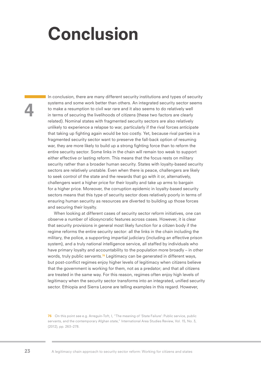## Conclusion

4

In conclusion, there are many different security institutions and types of security systems and some work better than others. An integrated security sector seems to make a resumption to civil war rare and it also seems to do relatively well in terms of securing the livelihoods of citizens (these two factors are clearly related). Nominal states with fragmented security sectors are also relatively unlikely to experience a relapse to war, particularly if the rival forces anticipate that taking up fighting again would be too costly. Yet, because rival parties in a fragmented security sector want to preserve the fall-back option of resuming war, they are more likely to build up a strong fighting force than to reform the entire security sector. Some links in the chain will remain too weak to support either effective or lasting reform. This means that the focus rests on military security rather than a broader human security. States with loyalty-based security sectors are relatively unstable. Even when there is peace, challengers are likely to seek control of the state and the rewards that go with it or, alternatively, challengers want a higher price for their loyalty and take up arms to bargain for a higher price. Moreover, the corruption epidemic in loyalty-based security sectors means that this type of security sector does relatively poorly in terms of ensuring human security as resources are diverted to building up those forces and securing their loyalty.

When looking at different cases of security sector reform initiatives, one can observe a number of idiosyncratic features across cases. However, it is clear that security provisions in general most likely function for a citizen body if the regime reforms the entire security sector: all the links in the chain including the military, the police, a supporting impartial judiciary (including an effective prison system), and a truly national intelligence service, all staffed by individuals who have primary loyalty and accountability to the population more broadly – in other words, truly public servants.<sup>76</sup> Legitimacy can be generated in different ways, but post-conflict regimes enjoy higher levels of legitimacy when citizens believe that the government is working for them, not as a predator; and that all citizens are treated in the same way. For this reason, regimes often enjoy high levels of legitimacy when the security sector transforms into an integrated, unified security sector. Ethiopia and Sierra Leone are telling examples in this regard. However,

76 On this point see e.g. Arreguín-Toft, I, "The meaning of 'State Failure': Public service, public servants, and the contemporary Afghan state," International Area Studies Review, Vol. 15, No. 3, (2012), pp. 263–278.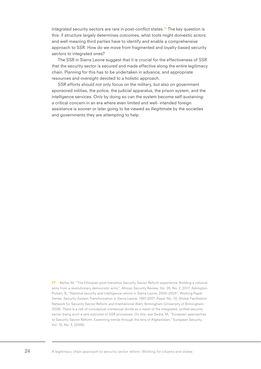integrated security sectors are rare in post-conflict states.77 The key question is this: if structure largely determines outcomes, what tools might domestic actors and well-meaning third parties have to identify and enable a comprehensive approach to SSR. How do we move from fragmented and loyalty-based security sectors to integrated ones?

The SSR in Sierra Leone suggest that it is crucial for the effectiveness of SSR that the security sector is secured and made effective along the entire legitimacy chain. Planning for this has to be undertaken in advance, and appropriate resources and oversight devoted to a holistic approach.

SSR efforts should not only focus on the military, but also on government sponsored militias, the police, the judicial apparatus, the prison system, and the intelligence services. Only by doing so can the system become self-sustaining: a critical concern in an era where even limited and well- intended foreign assistance is sooner or later going to be viewed as illegitimate by the societies and governments they are attempting to help.

77 Berhe, M, "The Ethiopian post-transition Security Sector Reform experience: Building a national army from a revolutionary democratic army", African Security Review, Vol. 26, No. 2, 2017; Ashington-Pickett, R, "National security and intelligence reform in Sierra Leone: 2000–2003", Working Paper Series, Security System Transformation in Sierra Leone, 1997-2007. Paper No. 10, Global Facilitation Network for Security Sector Reform and International Alert, Birmingham (University of Birmingham: 2008). There is a risk of conceptual-contextual divide as a result of the integrated, unified security sector being such a rare outcome of SSR processes. On this, see Sedra, M, "European approaches to Security Sector Reform: Examining trends through the lens of Afghanistan," European Security, Vol. 15, No. 3, (2006).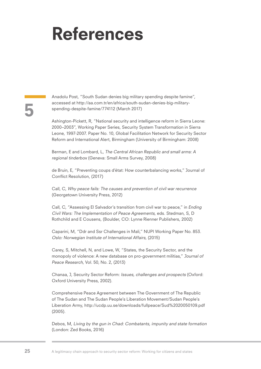## References

### 5

Anadolu Post, "South Sudan denies big military spending despite famine", accessed at http://aa.com.tr/en/africa/south-sudan-denies-big-militaryspending-despite-famine/774112 (March 2017)

Ashington-Pickett, R, "National security and intelligence reform in Sierra Leone: 2000–2003", Working Paper Series, Security System Transformation in Sierra Leone, 1997-2007. Paper No. 10, Global Facilitation Network for Security Sector Reform and International Alert, Birmingham (University of Birmingham: 2008)

Berman, E and Lombard, L, The Central African Republic and small arms: A regional tinderbox (Geneva: Small Arms Survey, 2008)

de Bruin, E, "Preventing coups d'état: How counterbalancing works," Journal of Conflict Resolution, (2017)

Call, C, Why peace fails: The causes and prevention of civil war recurrence (Georgetown University Press, 2012)

Call, C, "Assessing El Salvador's transition from civil war to peace," in Ending Civil Wars: The Implementation of Peace Agreements, eds. Stedman, S, D Rothchild and E Cousens, (Boulder, CO: Lynne Rienner Publishers, 2002)

Caparini, M, "Ddr and Ssr Challenges in Mali," NUPI Working Paper No. 853. Oslo: Norwegian Institute of International Affairs, (2015)

Carey, S, Mitchell, N, and Lowe, W, "States, the Security Sector, and the monopoly of violence: A new database on pro-government militias," Journal of Peace Research, Vol. 50, No. 2, (2013)

Chanaa, J, Security Sector Reform: Issues, challenges and prospects (Oxford: Oxford University Press, 2002).

Comprehensive Peace Agreement between The Government of The Republic of The Sudan and The Sudan People's Liberation Movement/Sudan People's Liberation Army, http://ucdp.uu.se/downloads/fullpeace/Sud%2020050109.pdf (2005).

Debos, M, Living by the gun in Chad: Combatants, impunity and state formation (London: Zed Books, 2016)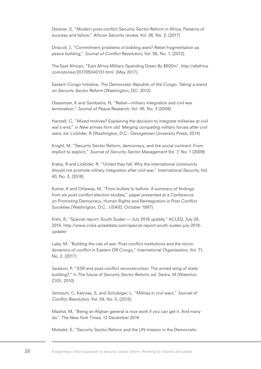Detzner, S, "Modern post-conflict Security Sector Reform in Africa: Patterns of success and failure," African Security review, Vol. 26, No. 2, (2017)

Driscoll, J, "Commitment problems or bidding wars? Rebel fragmentation as peace building," Journal of Conflict Resolution, Vol. 56, No. 1, (2012).

The East African, "East Africa Military Spending Down By \$600m". http://allafrica. com/stories/201705040131.html (May 2017).

Eastern Congo Initiative, The Democratic Republic of the Congo: Taking a stand on Security Sector Reform (Washington, DC: 2012)

Glassmyer, K and Sambanis, N, "Rebel—military integration and civil war termination," Journal of Peace Research, Vol. 45, No. 3 (2008).

Hartzell, C, "Mixed motives? Explaining the decision to integrate militaries at civil war's end," in New armies from old: Merging competing military forces after civil wars, ed. Licklider, R (Washington, D.C.: Georgetown University Press, 2014)

Knight, M, "Security Sector Reform, democracy, and tire social contract: From implicit to explicit," Journal of Security Sector Management Vol. 7, No. 1 (2009)

Krebs, R and Licklider, R, "United they fall: Why the international community should not promote military integration after civil war," International Security, Vol. 40, No. 3, (2016)

Kumar, K and Ottaway, M, "From bullets to ballots: A summary of findings from six post-conflict election studies," paper presented at a Conference on Promoting Democracy, Human Rights and Reintegration in Post-Conflict Societies (Washington, D.C.: USAID, October 1997).

Kishi, R, "Special report: South Sudan — July 2016 update," ACLED, July 26, 2016. http://www.crisis.acleddata.com/special-report-south-sudan-july-2016 update/

Lake, M, "Building the rule of war: Post-conflict institutions and the microdynamics of conflict in Eastern DR Congo," International Organisation, Vol. 71, No. 2, (2017)

Jackson, P, "SSR and post-conflict reconstruction: The armed wing of statebuilding?," in The future of Security Sector Reform, ed. Sedra, M (Waterloo: CIGI, 2010)

Jentzsch, C, Kalyvas, S, and Schubiger, L, "Militias in civil wars," Journal of Conflict Resolution, Vol. 59, No. 5, (2015)

Mashal, M, "Being an Afghan general is nice work if you can get it. And many do." The New York Times, 12 December 2016

Mobekk, E, "Security Sector Reform and the UN mission in the Democratic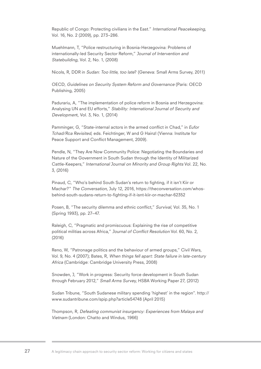Republic of Congo: Protecting civilians in the East." International Peacekeeping, Vol. 16, No. 2 (2009), pp. 273–286.

Muehlmann, T, "Police restructuring in Bosnia-Herzegovina: Problems of internationally-led Security Sector Reform," Journal of Intervention and Statebuilding, Vol. 2, No. 1, (2008)

Nicols, R, DDR in Sudan: Too little, too late? (Geneva: Small Arms Survey, 2011)

OECD, Guidelines on Security System Reform and Governance (Paris: OECD Publishing, 2005)

Padurariu, A, "The implementation of police reform in Bosnia and Herzegovina: Analysing UN and EU efforts," Stability: International Journal of Security and Development, Vol. 3, No. 1, (2014)

Pamminger, G, "State-internal actors in the armed conflict in Chad," in Eufor Tchad/Rca Revisited, eds. Feichtinger, W and G Hainzl (Vienna: Institute for Peace Support and Conflict Management, 2009).

Pendle, N, "They Are Now Community Police: Negotiating the Boundaries and Nature of the Government in South Sudan through the Identity of Militarized Cattle-Keepers," International Journal on Minority and Group Rights Vol. 22, No. 3, (2016)

Pinaud, C, "Who's behind South Sudan's return to fighting, if it isn't Kiir or Machar?" The Conversation, July 12, 2016, https://theconversation.com/whosbehind-south-sudans-return-to-fighting-if-it-isnt-kiir-or-machar-62352

Posen, B, "The security dilemma and ethnic conflict," Survival, Vol. 35, No. 1 (Spring 1993), pp. 27–47.

Raleigh, C, "Pragmatic and promiscuous: Explaining the rise of competitive political militias across Africa," Journal of Conflict Resolution Vol. 60, No. 2, (2016)

Reno, W, "Patronage politics and the behaviour of armed groups," Civil Wars, Vol. 9, No. 4 (2007); Bates, R, When things fell apart: State failure in late-century Africa (Cambridge: Cambridge University Press, 2008)

Snowden, J, "Work in progress: Security force development in South Sudan through February 2012," Small Arms Survey, HSBA Working Paper 27, (2012)

Sudan Tribune, "South Sudanese military spending 'highest' in the region". http:// www.sudantribune.com/spip.php?article54748 (April 2015)

Thompson, R, Defeating communist insurgency: Experiences from Malaya and Vietnam (London: Chatto and Windus, 1966)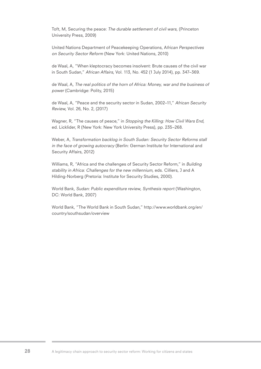Toft, M, Securing the peace: The durable settlement of civil wars, (Princeton University Press, 2009)

United Nations Department of Peacekeeping Operations, African Perspectives on Security Sector Reform (New York: United Nations, 2010)

de Waal, A, "When kleptocracy becomes insolvent: Brute causes of the civil war in South Sudan," African Affairs, Vol. 113, No. 452 (1 July 2014), pp. 347–369.

de Waal, A, The real politics of the horn of Africa: Money, war and the business of power (Cambridge: Polity, 2015)

de Waal, A, "Peace and the security sector in Sudan, 2002–11," African Security Review, Vol. 26, No. 2, (2017)

Wagner, R, "The causes of peace," in Stopping the Killing: How Civil Wars End, ed. Licklider, R (New York: New York University Press), pp. 235–268.

Weber, A, Transformation backlog in South Sudan: Security Sector Reforms stall in the face of growing autocracy (Berlin: German Institute for International and Security Affairs, 2012)

Williams, R, "Africa and the challenges of Security Sector Reform," in Building stability in Africa: Challenges for the new millennium, eds. Cilliers, J and A Hilding-Norberg (Pretoria: Institute for Security Studies, 2000).

World Bank, Sudan: Public expenditure review, Synthesis report (Washington, DC: World Bank, 2007)

World Bank, "The World Bank in South Sudan," http://www.worldbank.org/en/ country/southsudan/overview